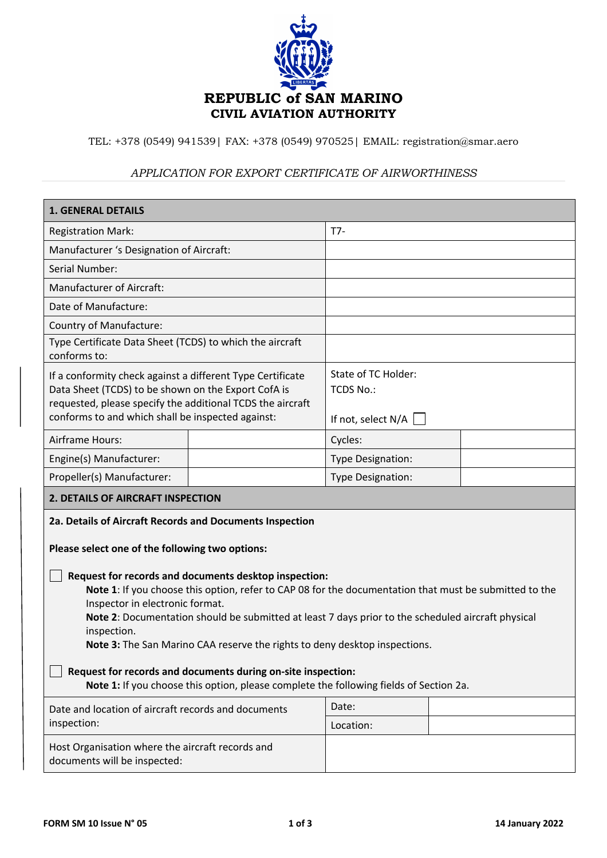

TEL: +378 (0549) 941539| FAX: +378 (0549) 970525| EMAIL: registration@smar.aero

## *APPLICATION FOR EXPORT CERTIFICATE OF AIRWORTHINESS*

| <b>1. GENERAL DETAILS</b>                                                                                                                                                                                                                                                                                                                                                                             |  |                                                               |  |  |  |
|-------------------------------------------------------------------------------------------------------------------------------------------------------------------------------------------------------------------------------------------------------------------------------------------------------------------------------------------------------------------------------------------------------|--|---------------------------------------------------------------|--|--|--|
| <b>Registration Mark:</b>                                                                                                                                                                                                                                                                                                                                                                             |  | $T7-$                                                         |  |  |  |
| Manufacturer 's Designation of Aircraft:                                                                                                                                                                                                                                                                                                                                                              |  |                                                               |  |  |  |
| <b>Serial Number:</b>                                                                                                                                                                                                                                                                                                                                                                                 |  |                                                               |  |  |  |
| <b>Manufacturer of Aircraft:</b>                                                                                                                                                                                                                                                                                                                                                                      |  |                                                               |  |  |  |
| Date of Manufacture:                                                                                                                                                                                                                                                                                                                                                                                  |  |                                                               |  |  |  |
| Country of Manufacture:                                                                                                                                                                                                                                                                                                                                                                               |  |                                                               |  |  |  |
| Type Certificate Data Sheet (TCDS) to which the aircraft<br>conforms to:                                                                                                                                                                                                                                                                                                                              |  |                                                               |  |  |  |
| If a conformity check against a different Type Certificate<br>Data Sheet (TCDS) to be shown on the Export CofA is<br>requested, please specify the additional TCDS the aircraft<br>conforms to and which shall be inspected against:                                                                                                                                                                  |  | State of TC Holder:<br><b>TCDS No.:</b><br>If not, select N/A |  |  |  |
| <b>Airframe Hours:</b>                                                                                                                                                                                                                                                                                                                                                                                |  | Cycles:                                                       |  |  |  |
| Engine(s) Manufacturer:                                                                                                                                                                                                                                                                                                                                                                               |  | Type Designation:                                             |  |  |  |
| Propeller(s) Manufacturer:                                                                                                                                                                                                                                                                                                                                                                            |  | <b>Type Designation:</b>                                      |  |  |  |
| <b>2. DETAILS OF AIRCRAFT INSPECTION</b>                                                                                                                                                                                                                                                                                                                                                              |  |                                                               |  |  |  |
| 2a. Details of Aircraft Records and Documents Inspection<br>Please select one of the following two options:                                                                                                                                                                                                                                                                                           |  |                                                               |  |  |  |
| Request for records and documents desktop inspection:<br>Note 1: If you choose this option, refer to CAP 08 for the documentation that must be submitted to the<br>Inspector in electronic format.<br>Note 2: Documentation should be submitted at least 7 days prior to the scheduled aircraft physical<br>inspection.<br>Note 3: The San Marino CAA reserve the rights to deny desktop inspections. |  |                                                               |  |  |  |
| Request for records and documents during on-site inspection:<br>Note 1: If you choose this option, please complete the following fields of Section 2a.                                                                                                                                                                                                                                                |  |                                                               |  |  |  |
| Date and location of aircraft records and documents<br>inspection:                                                                                                                                                                                                                                                                                                                                    |  | Date:                                                         |  |  |  |
|                                                                                                                                                                                                                                                                                                                                                                                                       |  | Location:                                                     |  |  |  |
| Host Organisation where the aircraft records and<br>documents will be inspected:                                                                                                                                                                                                                                                                                                                      |  |                                                               |  |  |  |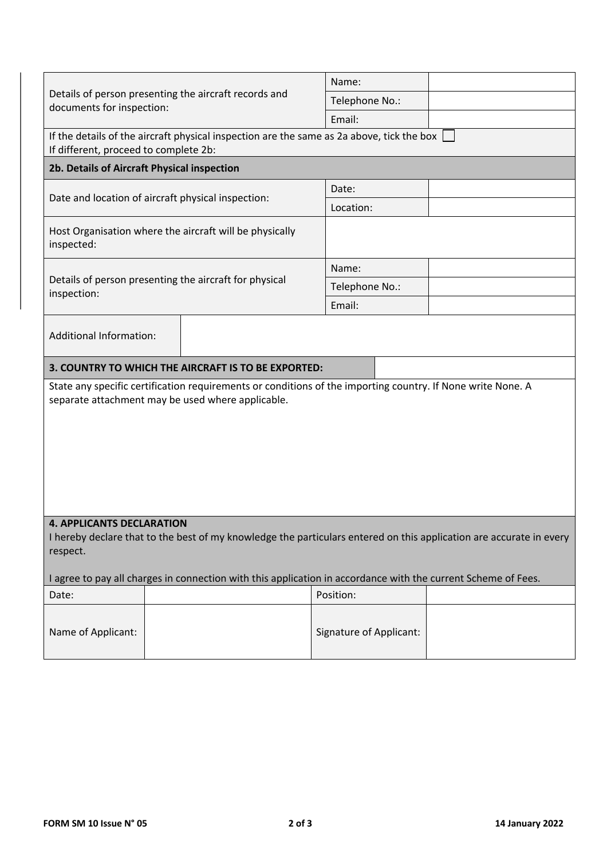|                                                                                                                                                                                                                                                                                      | Name:                          |  |  |  |  |  |
|--------------------------------------------------------------------------------------------------------------------------------------------------------------------------------------------------------------------------------------------------------------------------------------|--------------------------------|--|--|--|--|--|
| Details of person presenting the aircraft records and<br>documents for inspection:                                                                                                                                                                                                   | Telephone No.:                 |  |  |  |  |  |
|                                                                                                                                                                                                                                                                                      | Email:                         |  |  |  |  |  |
| If the details of the aircraft physical inspection are the same as 2a above, tick the box<br>If different, proceed to complete 2b:                                                                                                                                                   |                                |  |  |  |  |  |
| 2b. Details of Aircraft Physical inspection                                                                                                                                                                                                                                          |                                |  |  |  |  |  |
|                                                                                                                                                                                                                                                                                      | Date:                          |  |  |  |  |  |
| Date and location of aircraft physical inspection:                                                                                                                                                                                                                                   | Location:                      |  |  |  |  |  |
| Host Organisation where the aircraft will be physically<br>inspected:                                                                                                                                                                                                                |                                |  |  |  |  |  |
|                                                                                                                                                                                                                                                                                      | Name:                          |  |  |  |  |  |
| Details of person presenting the aircraft for physical<br>inspection:                                                                                                                                                                                                                | Telephone No.:                 |  |  |  |  |  |
|                                                                                                                                                                                                                                                                                      | Email:                         |  |  |  |  |  |
| <b>Additional Information:</b>                                                                                                                                                                                                                                                       |                                |  |  |  |  |  |
| 3. COUNTRY TO WHICH THE AIRCRAFT IS TO BE EXPORTED:                                                                                                                                                                                                                                  |                                |  |  |  |  |  |
| State any specific certification requirements or conditions of the importing country. If None write None. A<br>separate attachment may be used where applicable.                                                                                                                     |                                |  |  |  |  |  |
| <b>4. APPLICANTS DECLARATION</b><br>I hereby declare that to the best of my knowledge the particulars entered on this application are accurate in every<br>respect.<br>I agree to pay all charges in connection with this application in accordance with the current Scheme of Fees. |                                |  |  |  |  |  |
| Date:                                                                                                                                                                                                                                                                                | Position:                      |  |  |  |  |  |
|                                                                                                                                                                                                                                                                                      |                                |  |  |  |  |  |
| Name of Applicant:                                                                                                                                                                                                                                                                   | <b>Signature of Applicant:</b> |  |  |  |  |  |